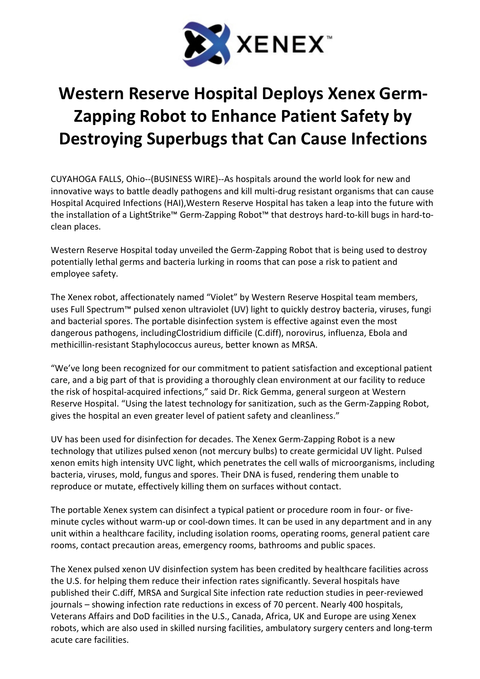

## Western Reserve Hospital Deploys Xenex Germ-Zapping Robot to Enhance Patient Safety by Destroying Superbugs that Can Cause Infections

CUYAHOGA FALLS, Ohio--(BUSINESS WIRE)--As hospitals around the world look for new and innovative ways to battle deadly pathogens and kill multi-drug resistant organisms that can cause Hospital Acquired Infections (HAI),Western Reserve Hospital has taken a leap into the future with the installation of a LightStrike™ Germ-Zapping Robot™ that destroys hard-to-kill bugs in hard-toclean places.

Western Reserve Hospital today unveiled the Germ-Zapping Robot that is being used to destroy potentially lethal germs and bacteria lurking in rooms that can pose a risk to patient and employee safety.

The Xenex robot, affectionately named "Violet" by Western Reserve Hospital team members, uses Full Spectrum™ pulsed xenon ultraviolet (UV) light to quickly destroy bacteria, viruses, fungi and bacterial spores. The portable disinfection system is effective against even the most dangerous pathogens, includingClostridium difficile (C.diff), norovirus, influenza, Ebola and methicillin-resistant Staphylococcus aureus, better known as MRSA.

"We've long been recognized for our commitment to patient satisfaction and exceptional patient care, and a big part of that is providing a thoroughly clean environment at our facility to reduce the risk of hospital-acquired infections," said Dr. Rick Gemma, general surgeon at Western Reserve Hospital. "Using the latest technology for sanitization, such as the Germ-Zapping Robot, gives the hospital an even greater level of patient safety and cleanliness."

UV has been used for disinfection for decades. The Xenex Germ-Zapping Robot is a new technology that utilizes pulsed xenon (not mercury bulbs) to create germicidal UV light. Pulsed xenon emits high intensity UVC light, which penetrates the cell walls of microorganisms, including bacteria, viruses, mold, fungus and spores. Their DNA is fused, rendering them unable to reproduce or mutate, effectively killing them on surfaces without contact.

The portable Xenex system can disinfect a typical patient or procedure room in four- or fiveminute cycles without warm-up or cool-down times. It can be used in any department and in any unit within a healthcare facility, including isolation rooms, operating rooms, general patient care rooms, contact precaution areas, emergency rooms, bathrooms and public spaces.

The Xenex pulsed xenon UV disinfection system has been credited by healthcare facilities across the U.S. for helping them reduce their infection rates significantly. Several hospitals have published their C.diff, MRSA and Surgical Site infection rate reduction studies in peer-reviewed journals – showing infection rate reductions in excess of 70 percent. Nearly 400 hospitals, Veterans Affairs and DoD facilities in the U.S., Canada, Africa, UK and Europe are using Xenex robots, which are also used in skilled nursing facilities, ambulatory surgery centers and long-term acute care facilities.